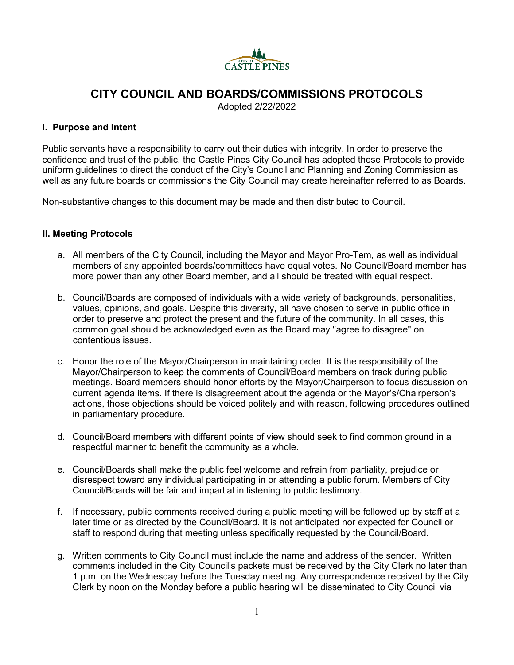

# **CITY COUNCIL AND BOARDS/COMMISSIONS PROTOCOLS**

Adopted 2/22/2022

# **I. Purpose and Intent**

Public servants have a responsibility to carry out their duties with integrity. In order to preserve the confidence and trust of the public, the Castle Pines City Council has adopted these Protocols to provide uniform guidelines to direct the conduct of the City's Council and Planning and Zoning Commission as well as any future boards or commissions the City Council may create hereinafter referred to as Boards.

Non-substantive changes to this document may be made and then distributed to Council.

# **II. Meeting Protocols**

- a. All members of the City Council, including the Mayor and Mayor Pro-Tem, as well as individual members of any appointed boards/committees have equal votes. No Council/Board member has more power than any other Board member, and all should be treated with equal respect.
- b. Council/Boards are composed of individuals with a wide variety of backgrounds, personalities, values, opinions, and goals. Despite this diversity, all have chosen to serve in public office in order to preserve and protect the present and the future of the community. In all cases, this common goal should be acknowledged even as the Board may "agree to disagree" on contentious issues.
- c. Honor the role of the Mayor/Chairperson in maintaining order. It is the responsibility of the Mayor/Chairperson to keep the comments of Council/Board members on track during public meetings. Board members should honor efforts by the Mayor/Chairperson to focus discussion on current agenda items. If there is disagreement about the agenda or the Mayor's/Chairperson's actions, those objections should be voiced politely and with reason, following procedures outlined in parliamentary procedure.
- d. Council/Board members with different points of view should seek to find common ground in a respectful manner to benefit the community as a whole.
- e. Council/Boards shall make the public feel welcome and refrain from partiality, prejudice or disrespect toward any individual participating in or attending a public forum. Members of City Council/Boards will be fair and impartial in listening to public testimony.
- f. If necessary, public comments received during a public meeting will be followed up by staff at a later time or as directed by the Council/Board. It is not anticipated nor expected for Council or staff to respond during that meeting unless specifically requested by the Council/Board.
- g. Written comments to City Council must include the name and address of the sender. Written comments included in the City Council's packets must be received by the City Clerk no later than 1 p.m. on the Wednesday before the Tuesday meeting. Any correspondence received by the City Clerk by noon on the Monday before a public hearing will be disseminated to City Council via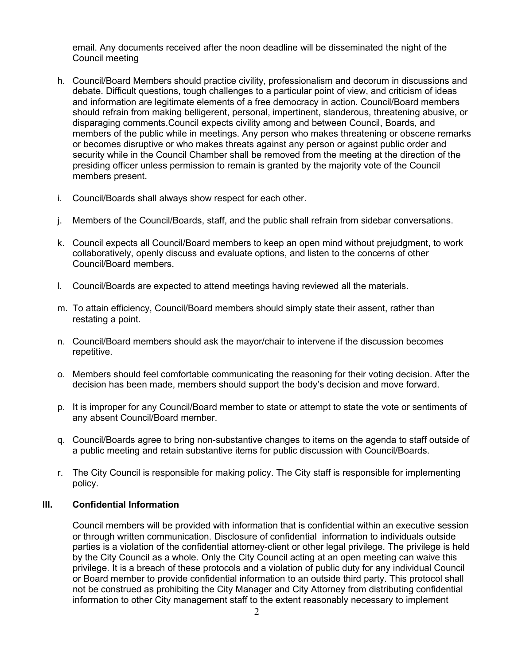email. Any documents received after the noon deadline will be disseminated the night of the Council meeting

- h. Council/Board Members should practice civility, professionalism and decorum in discussions and debate. Difficult questions, tough challenges to a particular point of view, and criticism of ideas and information are legitimate elements of a free democracy in action. Council/Board members should refrain from making belligerent, personal, impertinent, slanderous, threatening abusive, or disparaging comments.Council expects civility among and between Council, Boards, and members of the public while in meetings. Any person who makes threatening or obscene remarks or becomes disruptive or who makes threats against any person or against public order and security while in the Council Chamber shall be removed from the meeting at the direction of the presiding officer unless permission to remain is granted by the majority vote of the Council members present.
- i. Council/Boards shall always show respect for each other.
- j. Members of the Council/Boards, staff, and the public shall refrain from sidebar conversations.
- k. Council expects all Council/Board members to keep an open mind without prejudgment, to work collaboratively, openly discuss and evaluate options, and listen to the concerns of other Council/Board members.
- l. Council/Boards are expected to attend meetings having reviewed all the materials.
- m. To attain efficiency, Council/Board members should simply state their assent, rather than restating a point.
- n. Council/Board members should ask the mayor/chair to intervene if the discussion becomes repetitive.
- o. Members should feel comfortable communicating the reasoning for their voting decision. After the decision has been made, members should support the body's decision and move forward.
- p. It is improper for any Council/Board member to state or attempt to state the vote or sentiments of any absent Council/Board member.
- q. Council/Boards agree to bring non-substantive changes to items on the agenda to staff outside of a public meeting and retain substantive items for public discussion with Council/Boards.
- r. The City Council is responsible for making policy. The City staff is responsible for implementing policy.

#### **III. Confidential Information**

Council members will be provided with information that is confidential within an executive session or through written communication. Disclosure of confidential information to individuals outside parties is a violation of the confidential attorney-client or other legal privilege. The privilege is held by the City Council as a whole. Only the City Council acting at an open meeting can waive this privilege. It is a breach of these protocols and a violation of public duty for any individual Council or Board member to provide confidential information to an outside third party. This protocol shall not be construed as prohibiting the City Manager and City Attorney from distributing confidential information to other City management staff to the extent reasonably necessary to implement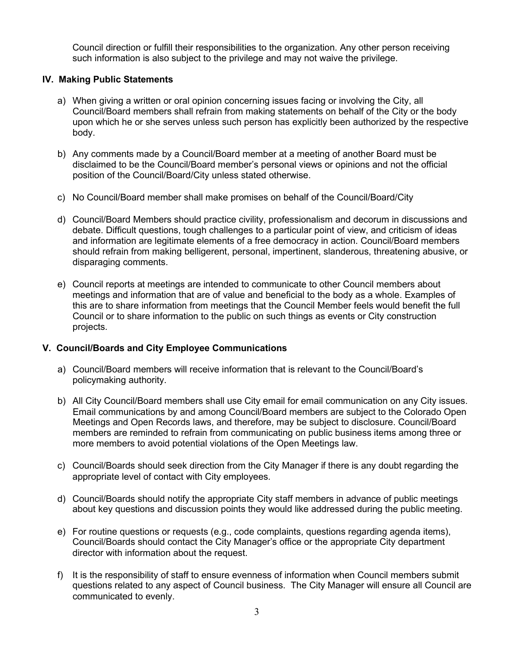Council direction or fulfill their responsibilities to the organization. Any other person receiving such information is also subject to the privilege and may not waive the privilege.

### **IV. Making Public Statements**

- a) When giving a written or oral opinion concerning issues facing or involving the City, all Council/Board members shall refrain from making statements on behalf of the City or the body upon which he or she serves unless such person has explicitly been authorized by the respective body.
- b) Any comments made by a Council/Board member at a meeting of another Board must be disclaimed to be the Council/Board member's personal views or opinions and not the official position of the Council/Board/City unless stated otherwise.
- c) No Council/Board member shall make promises on behalf of the Council/Board/City
- d) Council/Board Members should practice civility, professionalism and decorum in discussions and debate. Difficult questions, tough challenges to a particular point of view, and criticism of ideas and information are legitimate elements of a free democracy in action. Council/Board members should refrain from making belligerent, personal, impertinent, slanderous, threatening abusive, or disparaging comments.
- e) Council reports at meetings are intended to communicate to other Council members about meetings and information that are of value and beneficial to the body as a whole. Examples of this are to share information from meetings that the Council Member feels would benefit the full Council or to share information to the public on such things as events or City construction projects.

# **V. Council/Boards and City Employee Communications**

- a) Council/Board members will receive information that is relevant to the Council/Board's policymaking authority.
- b) All City Council/Board members shall use City email for email communication on any City issues. Email communications by and among Council/Board members are subject to the Colorado Open Meetings and Open Records laws, and therefore, may be subject to disclosure. Council/Board members are reminded to refrain from communicating on public business items among three or more members to avoid potential violations of the Open Meetings law.
- c) Council/Boards should seek direction from the City Manager if there is any doubt regarding the appropriate level of contact with City employees.
- d) Council/Boards should notify the appropriate City staff members in advance of public meetings about key questions and discussion points they would like addressed during the public meeting.
- e) For routine questions or requests (e.g., code complaints, questions regarding agenda items), Council/Boards should contact the City Manager's office or the appropriate City department director with information about the request.
- f) It is the responsibility of staff to ensure evenness of information when Council members submit questions related to any aspect of Council business. The City Manager will ensure all Council are communicated to evenly.